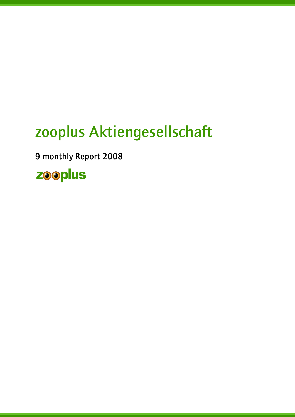# zooplus Aktiengesellschaft

9-monthly Report 2008

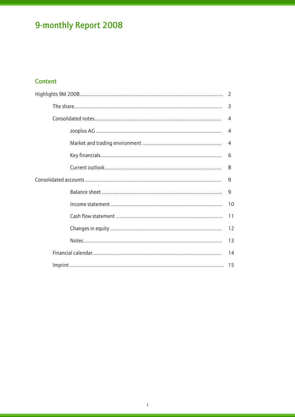## Content

|  | 3              |
|--|----------------|
|  | 4              |
|  | 4              |
|  | $\overline{4}$ |
|  | 6              |
|  | 8              |
|  | 9              |
|  | 9              |
|  |                |
|  | 11             |
|  | 12             |
|  | 13             |
|  | 14             |
|  |                |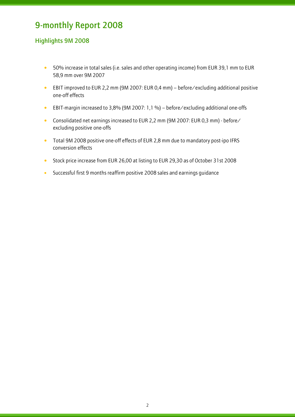## Highlights 9M 2008

- 50% increase in total sales (i.e. sales and other operating income) from EUR 39,1 mm to EUR 58,9 mm over 9M 2007
- EBIT improved to EUR 2,2 mm (9M 2007: EUR 0,4 mm) before/excluding additional positive one-off effects
- EBIT-margin increased to 3,8% (9M 2007: 1,1 %) before/excluding additional one-offs
- Consolidated net earnings increased to EUR 2,2 mm (9M 2007: EUR 0,3 mm) before/ excluding positive one-offs
- Total 9M 2008 positive one-off effects of EUR 2,8 mm due to mandatory post-ipo IFRS conversion effects
- Stock price increase from EUR 26,00 at listing to EUR 29,30 as of October 31st 2008
- Successful first 9 months reaffirm positive 2008 sales and earnings guidance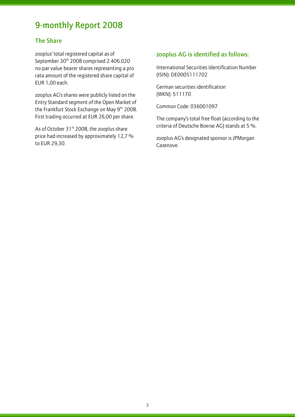### The Share

l

zooplus' total registered capital as of September 30<sup>th</sup> 2008 comprised 2.406.020 no-par value bearer shares representing a pro rata amount of the registered share capital of EUR 1,00 each.

zooplus AG's shares were publicly listed on the Entry Standard segment of the Open Market of the Frankfurt Stock Exchange on May 9<sup>th</sup> 2008. First trading occurred at EUR 26,00 per share.

As of October  $31^{st}$  2008, the zooplus share price had increased by approximately 12,7 % to EUR 29,30.

## zooplus AG is identified as follows:

International Securities Identification Number (ISIN): DE0005111702

German securities identification (WKN): 511170

Common Code: 036001097

The company's total free float (according to the criteria of Deutsche Boerse AG) stands at 5 %.

zooplus AG's designated sponsor is JPMorgan Cazenove.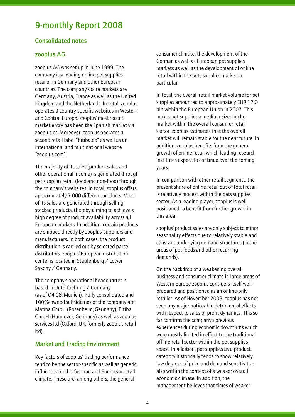#### Consolidated notes

#### zooplus AG

l

zooplus AG was set up in June 1999. The company is a leading online pet supplies retailer in Germany and other European countries. The company's core markets are Germany, Austria, France as well as the United Kingdom and the Netherlands. In total, zooplus operates 9 country-specific websites in Western and Central Europe. zooplus' most recent market entry has been the Spanish market via zooplus.es. Moreover, zooplus operates a second retail label "bitiba.de" as well as an international and multinational website "zooplus.com".

The majority of its sales (product sales and other operational income) is generated through pet supplies retail (food and non-food) through the company's websites. In total, zooplus offers approximately 7.000 different products. Most of its sales are generated through selling stocked products, thereby aiming to achieve a high degree of product availability across all European markets. In addition, certain products are shipped directly by zooplus' suppliers and manufacturers. In both cases, the product distribution is carried out by selected parcel distributors. zooplus' European distribution center is located in Staufenberg / Lower Saxony / Germany.

The company's operational headquarter is based in Unterfoehring / Germany (as of Q4 08: Munich). Fully consolidated and 100%-owned subsidiaries of the company are Matina GmbH (Rosenheim, Germany), Bitiba GmbH (Hannover, Germany) as well as zooplus services ltd (Oxford, UK; formerly zooplus retail ltd).

#### Market and Trading Environment

Key factors of zooplus' trading performance tend to be the sector-specific as well as generic influences on the German and European retail climate. These are, among others, the general

consumer climate, the development of the German as well as European pet supplies markets as well as the development of online retail within the pets supplies market in particular.

In total, the overall retail market volume for pet supplies amounted to approximately EUR 17,0 bln within the European Union in 2007. This makes pet supplies a medium-sized niche market within the overall consumer retail sector. zooplus estimates that the overall market will remain stable for the near future. In addition, zooplus benefits from the general growth of online retail which leading research institutes expect to continue over the coming years.

In comparison with other retail segments, the present share of online retail out of total retail is relatively modest within the pets supplies sector. As a leading player, zooplus is well positioned to benefit from further growth in this area.

zooplus' product sales are only subject to minor seasonality effects due to relatively stable and constant underlying demand structures (in the areas of pet foods and other recurring demands).

On the backdrop of a weakening overall business and consumer climate in large areas of Western Europe zooplus considers itself wellprepared and positioned as an online-only retailer. As of November 2008, zooplus has not seen any major noticeable detrimental effects with respect to sales or profit dynamics. This so far confirms the company's previous experiences during economic downturns which were mostly limited in effect to the traditional offline retail sector within the pet supplies space. In addition, pet supplies as a product category historically tends to show relatively low degrees of price and demand sensitivities also within the context of a weaker overall economic climate. In addition, the management believes that times of weaker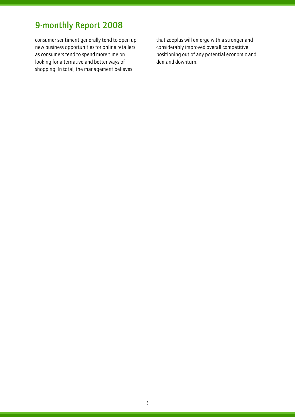l

consumer sentiment generally tend to open up new business opportunities for online retailers as consumers tend to spend more time on looking for alternative and better ways of shopping. In total, the management believes

that zooplus will emerge with a stronger and considerably improved overall competitive positioning out of any potential economic and demand downturn.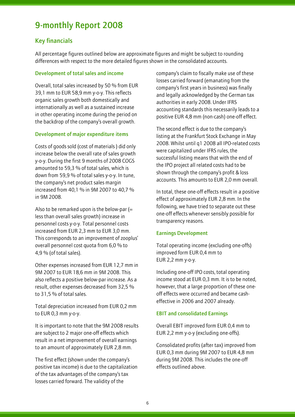### Key financials

l

All percentage figures outlined below are approximate figures and might be subject to rounding differences with respect to the more detailed figures shown in the consolidated accounts.

#### Development of total sales and income

Overall, total sales increased by 50 % from EUR 39,1 mm to EUR 58,9 mm y-o-y. This reflects organic sales growth both domestically and internationally as well as a sustained increase in other operating income during the period on the backdrop of the company's overall growth.

#### Development of major expenditure items

Costs of goods sold (cost of materials ) did only increase below the overall rate of sales growth y-o-y. During the first 9 months of 2008 COGS amounted to 59,3 % of total sales, which is down from 59,9 % of total sales y-o-y. In tune, the company's net product sales margin increased from 40,1 % in 9M 2007 to 40,7 % in 9M 2008.

Also to be remarked upon is the below-par  $(=$ less than overall sales growth) increase in personnel costs y-o-y. Total personnel costs increased from EUR 2,3 mm to EUR 3,0 mm. This corresponds to an improvement of zooplus' overall personnel cost quota from 6,0 % to 4,9 % (of total sales).

Other expenses increased from EUR 12,7 mm in 9M 2007 to EUR 18,6 mm in 9M 2008. This also reflects a positive below-par increase. As a result, other expenses decreased from 32,5 % to 31,5 % of total sales.

Total depreciation increased from EUR 0,2 mm to EUR 0,3 mm y-o-y.

It is important to note that the 9M 2008 results are subject to 2 major one-off effects which result in a net improvement of overall earnings to an amount of approximately EUR 2,8 mm.

The first effect (shown under the company's positive tax income) is due to the capitalization of the tax advantages of the company's tax losses carried forward. The validity of the

company's claim to fiscally make use of these losses carried forward (emanating from the company's first years in business) was finally and legally acknowledged by the German tax authorities in early 2008. Under IFRS accounting standards this necessarily leads to a positive EUR 4,8 mm (non-cash) one-off effect.

The second effect is due to the company's listing at the Frankfurt Stock Exchange in May 2008. Whilst until q1 2008 all IPO-related costs were capitalized under IFRS rules, the successful listing means that with the end of the IPO project all related costs had to be shown through the company's profit & loss accounts. This amounts to EUR 2,0 mm overall.

In total, these one-off effects result in a positive effect of approximately EUR 2,8 mm. In the following, we have tried to separate out these one-off effects whenever sensibly possible for transparency reasons.

#### Earnings Development

Total operating income (excluding one-offs) improved form EUR 0,4 mm to EUR 2,2 mm y-o-y.

Including one-off IPO costs, total operating income stood at EUR 0,3 mm. It is to be noted, however, that a large proportion of these oneoff effects were occurred and became casheffective in 2006 and 2007 already.

#### EBIT and consolidated Earnings

Overall EBIT improved form EUR 0,4 mm to EUR 2,2 mm y-o-y (excluding one-offs).

Consolidated profits (after tax) improved from EUR 0,3 mm during 9M 2007 to EUR 4,8 mm during 9M 2008. This includes the one-off effects outlined above.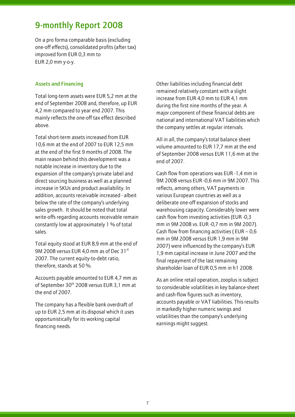On a pro forma comparable basis (excluding one-off effects), consolidated profits (after tax) improved form EUR 0,3 mm to EUR 2,0 mm y-o-y.

#### Assets and Financing

l

Total long-term assets were EUR 5,2 mm at the end of September 2008 and, therefore, up EUR 4,2 mm compared to year end 2007. This mainly reflects the one-off tax effect described above.

Total short-term assets increased from EUR 10,6 mm at the end of 2007 to EUR 12,5 mm at the end of the first 9 months of 2008. The main reason behind this development was a notable increase in inventory due to the expansion of the company's private label and direct sourcing business as well as a planned increase in SKUs and product availability. In addition, accounts receivable increased - albeit below the rate of the company's underlying sales growth. It should be noted that total write-offs regarding accounts receivable remain constantly low at approximately 1 % of total sales.

Total equity stood at EUR 8,9 mm at the end of 9M 2008 versus EUR 4,0 mm as of Dec 31st 2007. The current equity-to-debt ratio, therefore, stands at 50 %.

Accounts payable amounted to EUR 4,7 mm as of September 30<sup>th</sup> 2008 versus EUR 3,1 mm at the end of 2007.

The company has a flexible bank overdraft of up to EUR 2,5 mm at its disposal which it uses opportunistically for its working capital financing needs.

Other liabilities including financial debt remained relatively constant with a slight increase from EUR 4,0 mm to EUR 4,1 mm during the first nine months of the year. A major component of these financial debts are national and international VAT liabilities which the company settles at regular intervals.

All in all, the company's total balance sheet volume amounted to EUR 17,7 mm at the end of September 2008 versus EUR 11,6 mm at the end of 2007.

Cash flow from operations was EUR -1,4 mm in 9M 2008 versus EUR -0,6 mm in 9M 2007. This reflects, among others, VAT payments in various European countries as well as a deliberate one-off expansion of stocks and warehousing capacity. Considerably lower were cash flow from investing activities (EUR -0,3 mm in 9M 2008 vs. EUR -0,7 mm in 9M 2007). Cash flow from financing activities ( $EUR - 0.6$ ) mm in 9M 2008 versus EUR 1,9 mm in 9M 2007) were influenced by the company's EUR 1,9 mm capital increase in June 2007 and the final repayment of the last remaining shareholder loan of EUR 0,5 mm in h1 2008.

As an online retail operation, zooplus is subject to considerable volatilities in key balance-sheet and cash-flow figures such as inventory, accounts payable or VAT liabilities. This results in markedly higher numeric swings and volatilities than the company's underlying earnings might suggest.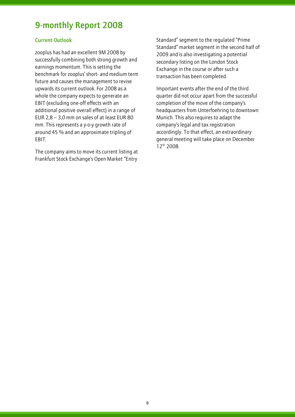#### Current Outlook

l

zooplus has had an excellent 9M 2008 by successfully combining both strong growth and earnings momentum. This is setting the benchmark for zooplus' short- and medium term future and causes the management to revise upwards its current outlook. For 2008 as a whole the company expects to generate an EBIT (excluding one-off effects with an additional positive overall effect) in a range of EUR 2,8 – 3,0 mm on sales of at least EUR 80 mm. This represents a y-o-y growth rate of around 45 % and an approximate tripling of EBIT.

The company aims to move its current listing at Frankfurt Stock Exchange's Open Market "Entry

Standard" segment to the regulated "Prime Standard" market segment in the second half of 2009 and is also investigating a potential secondary listing on the London Stock Exchange in the course or after such a transaction has been completed.

Important events after the end of the third quarter did not occur apart from the successful completion of the move of the company's headquarters from Unterfoehring to downtown Munich. This also requires to adapt the company's legal and tax registration accordingly. To that effect, an extraordinary general meeting will take place on December 12th 2008.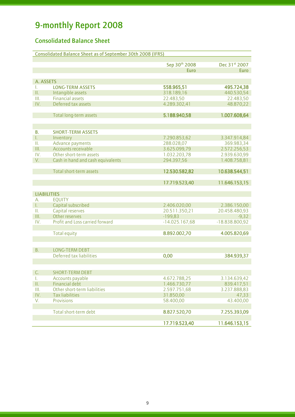## Consolidated Balance Sheet

|                    | <b>Consolidated Balance Sheet as of September 30th 2008 (IFRS)</b> |                            |                            |
|--------------------|--------------------------------------------------------------------|----------------------------|----------------------------|
|                    |                                                                    | Sep 30th 2008              | Dec 31st 2007              |
|                    |                                                                    | <b>Euro</b>                | <b>Euro</b>                |
|                    |                                                                    |                            |                            |
| A. ASSETS          |                                                                    |                            |                            |
| L.                 | <b>LONG-TERM ASSETS</b>                                            | 558.965,51                 | 495.724,38                 |
| Π.                 | Intangible assets                                                  | 318.189,16                 | 440.530,54                 |
| III.               | <b>Financial assets</b>                                            | 22.483,50                  | 22.483,50                  |
| IV.                | Deferred tax assets                                                | 4.289.302,41               | 48.870,22                  |
|                    |                                                                    |                            |                            |
|                    | Total long-term assets                                             | 5.188.940,58               | 1.007.608,64               |
|                    |                                                                    |                            |                            |
|                    |                                                                    |                            |                            |
| В.                 | <b>SHORT-TERM ASSETS</b>                                           |                            |                            |
| L.<br>Ш.           | Inventory<br>Advance payments                                      | 7.290.853,62<br>288.028,07 | 3.347.914,84<br>369.983,34 |
| Ш.                 | <b>Accounts receivable</b>                                         | 3.625.099,79               | 2.572.256,53               |
| IV.                | Other short-term assets                                            | 1.032.203,78               | 2.939.630,99               |
| V.                 | Cash in hand and cash equivalents                                  | 294.397,56                 | 1.408.758,81               |
|                    |                                                                    |                            |                            |
|                    | Total short-term assets                                            | 12.530.582,82              | 10.638.544,51              |
|                    |                                                                    |                            |                            |
|                    |                                                                    | 17.719.523,40              | 11.646.153,15              |
|                    |                                                                    |                            |                            |
| <b>LIABILITIES</b> |                                                                    |                            |                            |
| А.                 | <b>EQUITY</b>                                                      |                            |                            |
| L.                 | Capital subscribed                                                 | 2.406.020,00               | 2.386.150,00               |
| Ш.                 | Capital reserves                                                   | 20.511.350,21              | 20.458.480,93              |
| Ш.                 | Other reserves                                                     | $-199,83$                  | $-9,32$                    |
| IV.                | Profit and Loss carried forward                                    | $-14.025.167,68$           | -18.838.800,92             |
|                    |                                                                    |                            |                            |
|                    | <b>Total equity</b>                                                | 8.892.002,70               | 4.005.820,69               |
|                    |                                                                    |                            |                            |
| В.                 | <b>LONG-TERM DEBT</b>                                              |                            |                            |
|                    | Deferred tax liabilities                                           | 0,00                       | 384.939,37                 |
|                    |                                                                    |                            |                            |
|                    |                                                                    |                            |                            |
| C.                 | <b>SHORT-TERM DEBT</b>                                             |                            |                            |
| T.                 | Accounts payable                                                   | 4.672.788,25               | 3.134.639,42               |
| $\prod_{i=1}^n$    | <b>Financial debt</b>                                              | 1.466.730,77               | 839.417,51                 |
| III.               | Other short-term liabilities                                       | 2.597.751,68               | 3.237.888,83               |
| IV.                | <b>Tax liabilities</b>                                             | 31.850,00                  | 47,33                      |
| V.                 | Provisions                                                         | 58.400,00                  | 43.400,00                  |
|                    |                                                                    |                            |                            |
|                    | Total short-term debt                                              | 8.827.520,70               | 7.255.393,09               |
|                    |                                                                    |                            |                            |
|                    |                                                                    | 17.719.523,40              | 11.646.153,15              |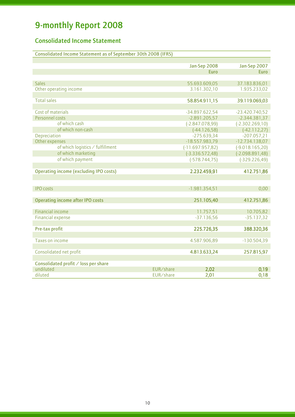l

## Consolidated Income Statement

| Consolidated Income Statement as of September 30th 2008 (IFRS) |  |
|----------------------------------------------------------------|--|
|                                                                |  |

|                                               |           | Jan-Sep 2008<br><b>Euro</b> | Jan-Sep 2007<br><b>Euro</b> |
|-----------------------------------------------|-----------|-----------------------------|-----------------------------|
|                                               |           |                             |                             |
| <b>Sales</b>                                  |           | 55.693.609,05               | 37.183.836,01               |
| Other operating income                        |           | 3.161.302,10                | 1.935.233,02                |
|                                               |           |                             |                             |
| <b>Total sales</b>                            |           | 58.854.911,15               | 39.119.069,03               |
|                                               |           |                             |                             |
| Cost of materials                             |           | -34.897.622,54              | $-23.420.740,52$            |
| Personnel costs                               |           | $-2.891.205,57$             | $-2.344.381,37$             |
| of which cash                                 |           | $(-2.847.078,99)$           | $(-2.302.269,10)$           |
| of which non-cash                             |           | $(-44.126,58)$              | $(-42.112,27)$              |
| Depreciation                                  |           | $-275.639,34$               | $-207.057,21$               |
| Other expenses                                |           | $-18.557.983,79$            | $-12.734.138,07$            |
| of which logistics / fulfillment              |           | $(-11.697.957,82)$          | $(-9.018.165,20)$           |
| of which marketing                            |           | $(-3.336.572,48)$           | $(-2.098.891,48)$           |
| of which payment                              |           | $(-578.744, 75)$            | $(-329.226, 49)$            |
|                                               |           |                             |                             |
| <b>Operating income (excluding IPO costs)</b> |           | 2.232.459,91                | 412.751,86                  |
|                                               |           |                             |                             |
|                                               |           |                             |                             |
| <b>IPO</b> costs                              |           | $-1.981.354,51$             | 0,00                        |
|                                               |           |                             |                             |
| <b>Operating income after IPO costs</b>       |           | 251.105,40                  | 412.751,86                  |
| <b>Financial income</b>                       |           | 11.757,51                   | 10.705,82                   |
| <b>Financial expense</b>                      |           | $-37.136,56$                | $-35.137,32$                |
|                                               |           |                             |                             |
| Pre-tax profit                                |           | 225.726,35                  | 388.320,36                  |
|                                               |           |                             |                             |
| Taxes on income                               |           | 4.587.906,89                | $-130.504,39$               |
|                                               |           |                             |                             |
| Consolidated net profit                       |           | 4.813.633,24                | 257.815,97                  |
|                                               |           |                             |                             |
| Consolidated profit / loss per share          |           |                             |                             |
| undiluted                                     | EUR/share | 2,02                        | 0,19                        |
| diluted                                       | EUR/share | 2,01                        | 0,18                        |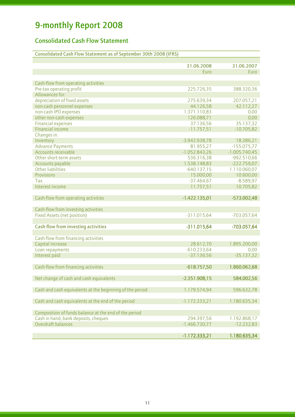l

## Consolidated Cash Flow Statement

| Consolidated Cash Flow Statement as of September 30th 2008 (IFRS) |                 |                 |
|-------------------------------------------------------------------|-----------------|-----------------|
|                                                                   |                 |                 |
|                                                                   | 31.06.2008      | 31.06.2007      |
|                                                                   | Euro            | Euro            |
|                                                                   |                 |                 |
| Cash-flow from operating activities                               |                 |                 |
| Pre-tax operating profit                                          | 225.726,35      | 388.320,36      |
| Allowances for:                                                   |                 |                 |
| depreciation of fixed assets                                      | 275.639,34      | 207.057,21      |
| non-cash personnel expenses                                       | 44.126,58       | 42.112,27       |
| non-cash IPO expenses                                             | 1.371.110,83    | 0,00            |
| other non-cash expenses                                           | 126.088,71      | 0,00            |
| <b>Financial expenses</b>                                         | 37.136,56       | 35.137,32       |
| <b>Financial income</b>                                           | $-11.757,51$    | $-10.705,82$    |
| Changes in:                                                       |                 |                 |
| Inventory                                                         | $-3.942.938,78$ | 18.386,21       |
| <b>Advance Payments</b>                                           | 81.955,27       | $-155.075,77$   |
| Accounts receivable                                               | $-1.052.843,26$ | $-1.005.740,45$ |
| Other short-term assets                                           | 536.316,38      | $-992.510,66$   |
| Accounts payable                                                  | 1.538.148,83    | $-222.759,07$   |
| <b>Other liabilities</b>                                          | $-640.137,15$   | 1.110.060,07    |
| <b>Provisions</b>                                                 | 15.000,00       | 10.600,00       |
| Tax                                                               | $-37.464,67$    | $-8.589,97$     |
| Interest income                                                   | 11.757,51       | 10.705,82       |
|                                                                   |                 |                 |
| Cash-flow from operating activities                               | $-1.422.135,01$ | $-573.002,48$   |
|                                                                   |                 |                 |
| Cash-flow from investing activities                               |                 |                 |
| <b>Fixed Assets (net position)</b>                                | $-311.015,64$   | $-703.057,64$   |
|                                                                   |                 |                 |
| <b>Cash-flow from investing activities</b>                        | $-311.015,64$   | $-703.057,64$   |
|                                                                   |                 |                 |
| Cash-flow from financing activities                               |                 |                 |
| Capital increase                                                  | 28.612,70       | 1.895.200,00    |
| Loan repayments                                                   | $-610.233,64$   | 0,00            |
| Interest paid                                                     | $-37.136,56$    | $-35.137,32$    |
|                                                                   |                 |                 |
| Cash-flow from financing activities                               | $-618.757,50$   | 1.860.062,68    |
|                                                                   |                 |                 |
| Net change of cash and cash equivalents                           | $-2.351.908,15$ | 584.002,56      |
|                                                                   |                 |                 |
| Cash and cash equivalents at the beginning of the period          | 1.179.574,94    | 596.632,78      |
|                                                                   |                 |                 |
| Cash and cash equivalents at the end of the period                | $-1.172.333,21$ | 1.180.635,34    |
|                                                                   |                 |                 |
| Composition of funds balance at the end of the period             |                 |                 |
| Cash in hand, bank deposits, cheques                              | 294.397,56      | 1.192.868,17    |
| Overdraft balances                                                | $-1.466.730,77$ | $-12.232,83$    |
|                                                                   |                 |                 |
|                                                                   | $-1.172.333,21$ | 1.180.635,34    |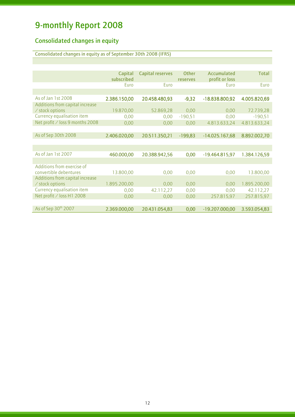l

## Consolidated changes in equity

Consolidated changes in equity as of September 30th 2008 (IFRS)

|                                 | Capital      | <b>Capital reserves</b> | <b>Other</b> | Accumulated      | <b>Total</b> |
|---------------------------------|--------------|-------------------------|--------------|------------------|--------------|
|                                 | subscribed   |                         | reserves     | profit or loss   |              |
|                                 | Euro         | Euro                    |              | Euro             | Euro         |
|                                 |              |                         |              |                  |              |
| As of Jan 1st 2008              | 2.386.150,00 | 20.458.480,93           | $-9,32$      | $-18.838.800,92$ | 4.005.820,69 |
| Additions from capital increase |              |                         |              |                  |              |
| / stock options                 | 19.870,00    | 52.869,28               | 0,00         | 0,00             | 72.739,28    |
| Currency equalisation item      | 0,00         | 0,00                    | $-190,51$    | 0,00             | $-190,51$    |
| Net profit / loss 9 months 2008 | 0,00         | 0,00                    | 0,00         | 4.813.633,24     | 4.813.633,24 |
|                                 |              |                         |              |                  |              |
| As of Sep 30th 2008             | 2.406.020,00 | 20.511.350,21           | $-199,83$    | $-14.025.167,68$ | 8.892.002,70 |
|                                 |              |                         |              |                  |              |
|                                 |              |                         |              |                  |              |
| As of Jan 1st 2007              | 460.000,00   | 20.388.942,56           | 0,00         | $-19.464.815,97$ | 1.384.126,59 |
|                                 |              |                         |              |                  |              |
| Additions from exercise of      |              |                         |              |                  |              |
| convertible debentures          | 13.800,00    | 0,00                    | 0,00         | 0,00             | 13.800,00    |
| Additions from capital increase |              |                         |              |                  |              |
| / stock options                 | 1.895.200,00 | 0,00                    | 0,00         | 0,00             | 1.895.200,00 |
| Currency equalisation item      | 0,00         | 42.112,27               | 0,00         | 0,00             | 42.112,27    |
| Net profit / loss H1 2008       | 0,00         | 0,00                    | 0,00         | 257.815,97       | 257.815,97   |
|                                 |              |                         |              |                  |              |
| As of Sep 30th 2007             | 2.369.000,00 | 20.431.054,83           | 0,00         | $-19.207.000,00$ | 3.593.054,83 |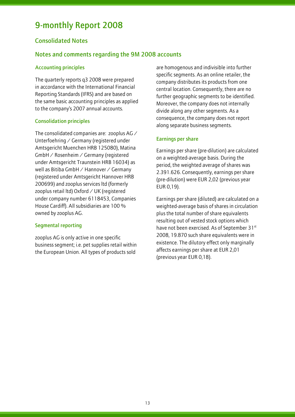### Consolidated Notes

l

### Notes and comments regarding the 9M 2008 accounts

#### Accounting principles

The quarterly reports q3 2008 were prepared in accordance with the International Financial Reporting Standards (IFRS) and are based on the same basic accounting principles as applied to the company's 2007 annual accounts.

#### Consolidation principles

The consolidated companies are: zooplus AG / Unterfoehring / Germany (registered under Amtsgericht Muenchen HRB 125080), Matina GmbH / Rosenheim / Germany (registered under Amtsgericht Traunstein HRB 16034) as well as Bitiba GmbH / Hannover / Germany (registered under Amtsgericht Hannover HRB 200699) and zooplus services ltd (formerly zooplus retail ltd) Oxford / UK (registered under company number 6118453, Companies House Cardiff). All subsidiaries are 100 % owned by zooplus AG.

#### Segmental reporting

zooplus AG is only active in one specific business segment; i.e. pet supplies retail within the European Union. All types of products sold

are homogenous and indivisible into further specific segments. As an online retailer, the company distributes its products from one central location. Consequently, there are no further geographic segments to be identified. Moreover, the company does not internally divide along any other segments. As a consequence, the company does not report along separate business segments.

#### Earnings per share

Earnings per share (pre-dilution) are calculated on a weighted-average basis. During the period, the weighted average of shares was 2.391.626. Consequently, earnings per share (pre-dilution) were EUR 2,02 (previous year EUR 0,19).

Earnings per share (diluted) are calculated on a weighted-average basis of shares in circulation plus the total number of share equivalents resulting out of vested stock options which have not been exercised. As of September 31st 2008, 19.870 such share equivalents were in existence. The dilutory effect only marginally affects earnings per share at EUR 2,01 (previous year EUR 0,18).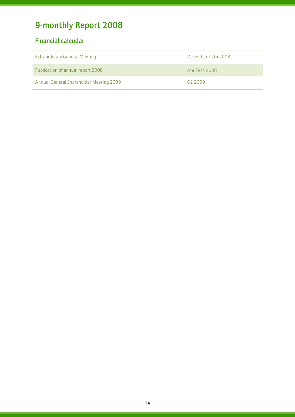## Financial calendar

| <b>Extraordinary General Meeting</b>    | December 12th 2008 |
|-----------------------------------------|--------------------|
| Publication of annual report 2008       | April 9th 2008     |
| Annual General Shareholder Meeting 2009 | 02 2009            |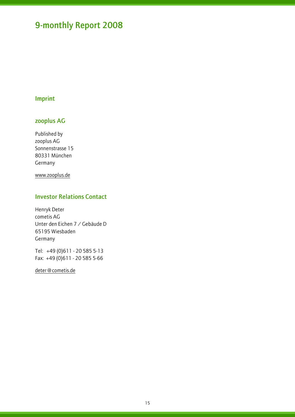## Imprint

l

## zooplus AG

Published by zooplus AG Sonnenstrasse 15 80331 München Germany

www.zooplus.de

### Investor Relations Contact

Henryk Deter cometis AG Unter den Eichen 7 / Gebäude D 65195 Wiesbaden Germany

Tel: +49 (0)611 - 20 585 5-13 Fax: +49 (0)611 - 20 585 5-66

deter@cometis.de